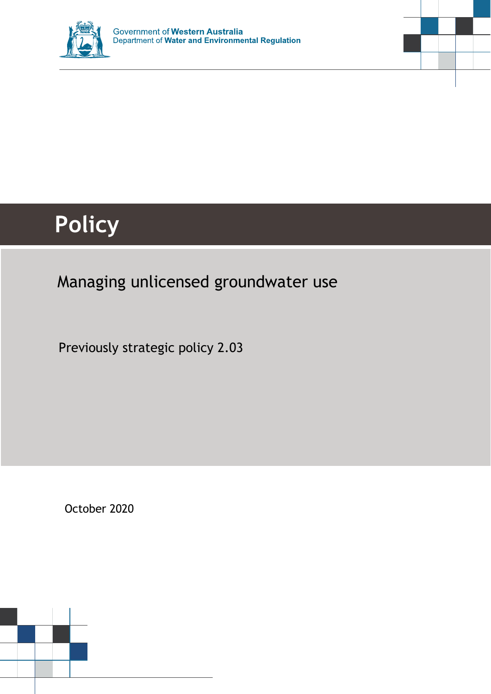



# **Policy**

## Managing unlicensed groundwater use

Previously strategic policy 2.03

October 2020

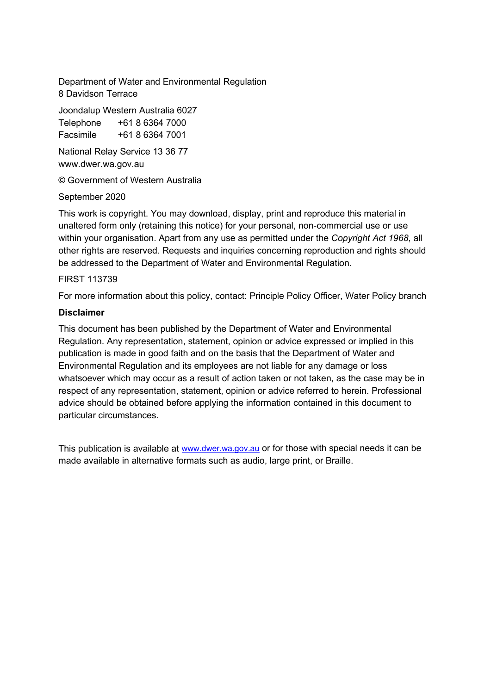Department of Water and Environmental Regulation 8 Davidson Terrace

Joondalup Western Australia 6027 Telephone +61 8 6364 7000 Facsimile +61 8 6364 7001

National Relay Service 13 36 77 www.dwer.wa.gov.au

© Government of Western Australia

#### September 2020

This work is copyright. You may download, display, print and reproduce this material in unaltered form only (retaining this notice) for your personal, non-commercial use or use within your organisation. Apart from any use as permitted under the *Copyright Act 1968*, all other rights are reserved. Requests and inquiries concerning reproduction and rights should be addressed to the Department of Water and Environmental Regulation.

#### FIRST 113739

For more information about this policy, contact: Principle Policy Officer, Water Policy branch

#### **Disclaimer**

This document has been published by the Department of Water and Environmental Regulation. Any representation, statement, opinion or advice expressed or implied in this publication is made in good faith and on the basis that the Department of Water and Environmental Regulation and its employees are not liable for any damage or loss whatsoever which may occur as a result of action taken or not taken, as the case may be in respect of any representation, statement, opinion or advice referred to herein. Professional advice should be obtained before applying the information contained in this document to particular circumstances.

This publication is available at [www.dwer.wa.gov.au](http://www.dwer.wa.gov.au/) or for those with special needs it can be made available in alternative formats such as audio, large print, or Braille.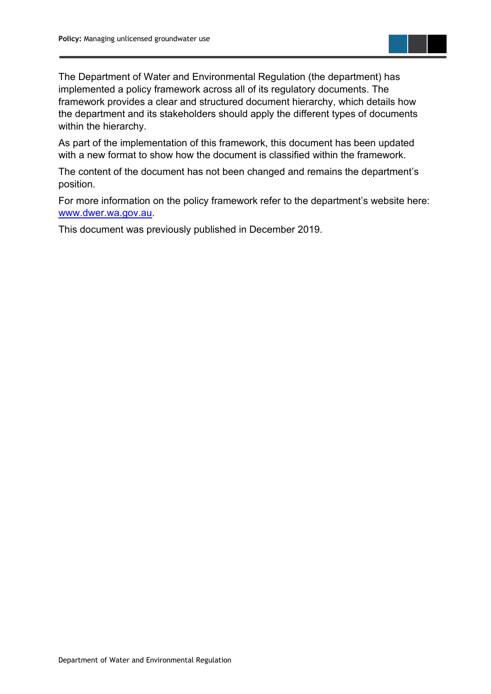

The Department of Water and Environmental Regulation (the department) has implemented a policy framework across all of its regulatory documents. The framework provides a clear and structured document hierarchy, which details how the department and its stakeholders should apply the different types of documents within the hierarchy.

As part of the implementation of this framework, this document has been updated with a new format to show how the document is classified within the framework.

The content of the document has not been changed and remains the department's position.

For more information on the policy framework refer to the department's website here: [www.dwer.wa.gov.au.](https://dwer.wa.gov.au/)

This document was previously published in December 2019.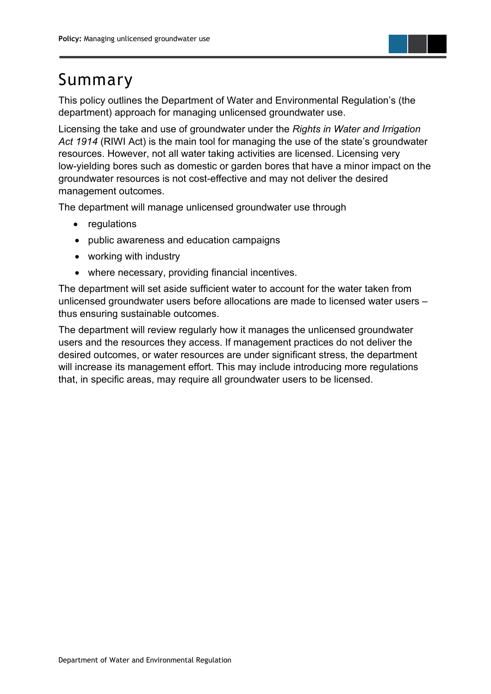

## <span id="page-3-0"></span>Summary

This policy outlines the Department of Water and Environmental Regulation's (the department) approach for managing unlicensed groundwater use.

Licensing the take and use of groundwater under the *Rights in Water and Irrigation Act 1914* (RIWI Act) is the main tool for managing the use of the state's groundwater resources. However, not all water taking activities are licensed. Licensing very low-yielding bores such as domestic or garden bores that have a minor impact on the groundwater resources is not cost-effective and may not deliver the desired management outcomes.

The department will manage unlicensed groundwater use through

- regulations
- public awareness and education campaigns
- working with industry
- where necessary, providing financial incentives.

The department will set aside sufficient water to account for the water taken from unlicensed groundwater users before allocations are made to licensed water users – thus ensuring sustainable outcomes.

The department will review regularly how it manages the unlicensed groundwater users and the resources they access. If management practices do not deliver the desired outcomes, or water resources are under significant stress, the department will increase its management effort. This may include introducing more regulations that, in specific areas, may require all groundwater users to be licensed.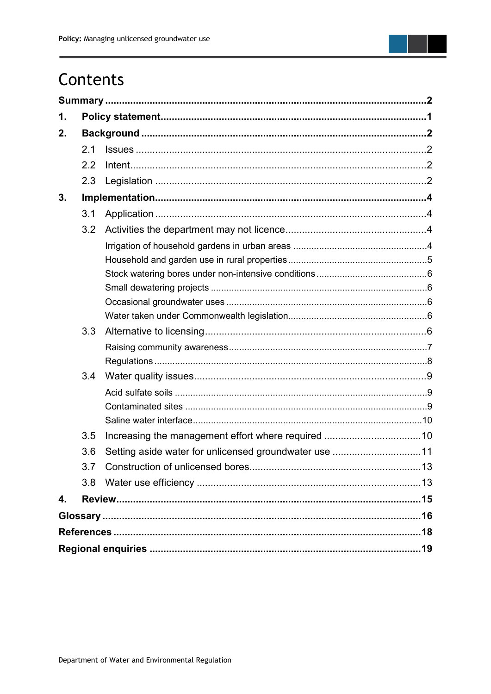

## Contents

| 1. |     |                                                       |  |
|----|-----|-------------------------------------------------------|--|
| 2. |     |                                                       |  |
|    | 2.1 |                                                       |  |
|    | 2.2 |                                                       |  |
|    | 2.3 |                                                       |  |
| 3. |     |                                                       |  |
|    | 3.1 |                                                       |  |
|    | 3.2 |                                                       |  |
|    |     |                                                       |  |
|    |     |                                                       |  |
|    |     |                                                       |  |
|    |     |                                                       |  |
|    |     |                                                       |  |
|    |     |                                                       |  |
|    | 3.3 |                                                       |  |
|    |     |                                                       |  |
|    |     |                                                       |  |
|    | 3.4 |                                                       |  |
|    |     |                                                       |  |
|    |     |                                                       |  |
|    |     |                                                       |  |
|    | 3.5 |                                                       |  |
|    | 3.6 | Setting aside water for unlicensed groundwater use 11 |  |
|    | 3.7 |                                                       |  |
|    | 3.8 |                                                       |  |
| 4. |     |                                                       |  |
|    |     |                                                       |  |
|    |     |                                                       |  |
|    |     |                                                       |  |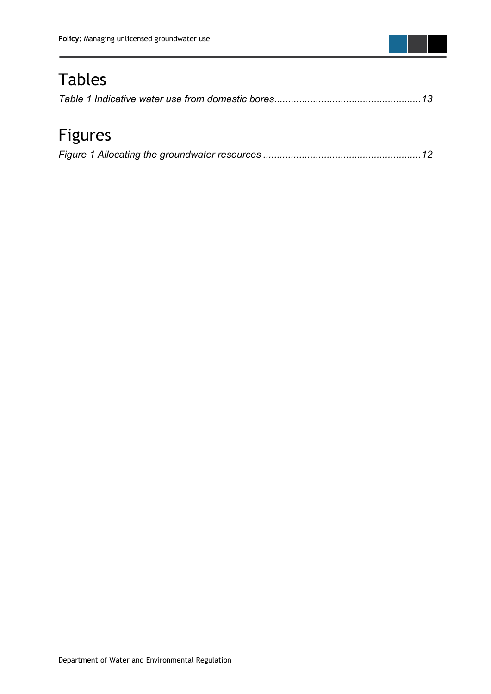

## Tables

## Figures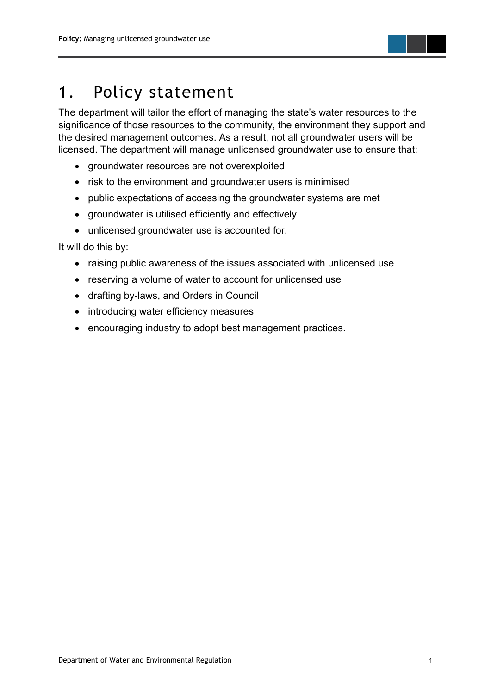

## <span id="page-6-0"></span>1. Policy statement

The department will tailor the effort of managing the state's water resources to the significance of those resources to the community, the environment they support and the desired management outcomes. As a result, not all groundwater users will be licensed. The department will manage unlicensed groundwater use to ensure that:

- groundwater resources are not overexploited
- risk to the environment and groundwater users is minimised
- public expectations of accessing the groundwater systems are met
- groundwater is utilised efficiently and effectively
- unlicensed groundwater use is accounted for.

It will do this by:

- raising public awareness of the issues associated with unlicensed use
- reserving a volume of water to account for unlicensed use
- drafting by-laws, and Orders in Council
- introducing water efficiency measures
- encouraging industry to adopt best management practices.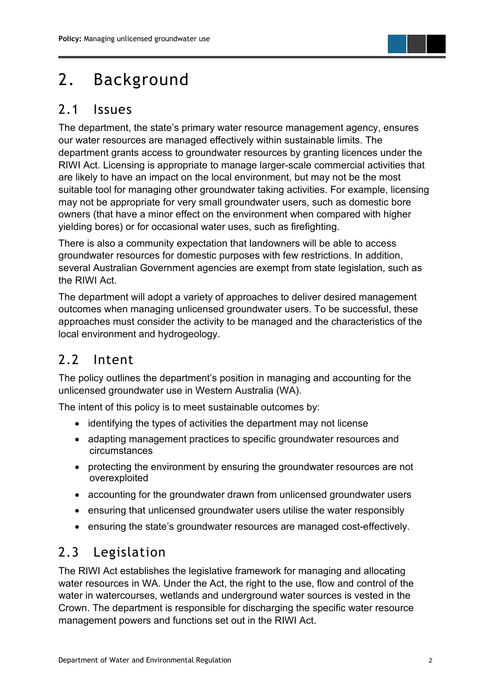

## <span id="page-7-0"></span>2. Background

#### <span id="page-7-1"></span>2.1 Issues

The department, the state's primary water resource management agency, ensures our water resources are managed effectively within sustainable limits. The department grants access to groundwater resources by granting licences under the RIWI Act. Licensing is appropriate to manage larger-scale commercial activities that are likely to have an impact on the local environment, but may not be the most suitable tool for managing other groundwater taking activities. For example, licensing may not be appropriate for very small groundwater users, such as domestic bore owners (that have a minor effect on the environment when compared with higher yielding bores) or for occasional water uses, such as firefighting.

There is also a community expectation that landowners will be able to access groundwater resources for domestic purposes with few restrictions. In addition, several Australian Government agencies are exempt from state legislation, such as the RIWI Act.

The department will adopt a variety of approaches to deliver desired management outcomes when managing unlicensed groundwater users. To be successful, these approaches must consider the activity to be managed and the characteristics of the local environment and hydrogeology.

#### <span id="page-7-2"></span>2.2 Intent

The policy outlines the department's position in managing and accounting for the unlicensed groundwater use in Western Australia (WA).

The intent of this policy is to meet sustainable outcomes by:

- identifying the types of activities the department may not license
- adapting management practices to specific groundwater resources and circumstances
- protecting the environment by ensuring the groundwater resources are not overexploited
- accounting for the groundwater drawn from unlicensed groundwater users
- ensuring that unlicensed groundwater users utilise the water responsibly
- ensuring the state's groundwater resources are managed cost-effectively.

#### <span id="page-7-3"></span>2.3 Legislation

The RIWI Act establishes the legislative framework for managing and allocating water resources in WA. Under the Act, the right to the use, flow and control of the water in watercourses, wetlands and underground water sources is vested in the Crown. The department is responsible for discharging the specific water resource management powers and functions set out in the RIWI Act.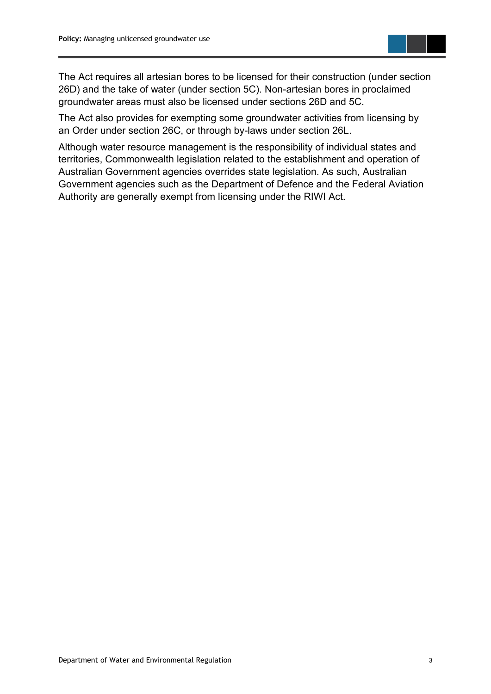

The Act requires all artesian bores to be licensed for their construction (under section 26D) and the take of water (under section 5C). Non-artesian bores in proclaimed groundwater areas must also be licensed under sections 26D and 5C.

The Act also provides for exempting some groundwater activities from licensing by an Order under section 26C, or through by-laws under section 26L.

Although water resource management is the responsibility of individual states and territories, Commonwealth legislation related to the establishment and operation of Australian Government agencies overrides state legislation. As such, Australian Government agencies such as the Department of Defence and the Federal Aviation Authority are generally exempt from licensing under the RIWI Act.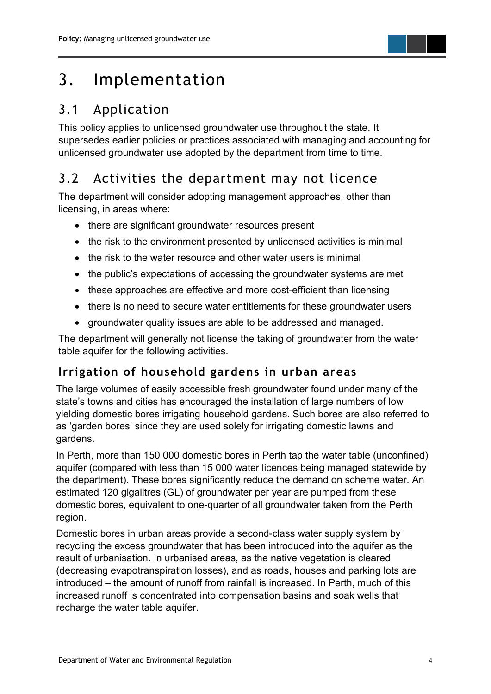## <span id="page-9-0"></span>3. Implementation

## <span id="page-9-1"></span>3.1 Application

This policy applies to unlicensed groundwater use throughout the state. It supersedes earlier policies or practices associated with managing and accounting for unlicensed groundwater use adopted by the department from time to time.

## <span id="page-9-2"></span>3.2 Activities the department may not licence

The department will consider adopting management approaches, other than licensing, in areas where:

- there are significant groundwater resources present
- the risk to the environment presented by unlicensed activities is minimal
- the risk to the water resource and other water users is minimal
- the public's expectations of accessing the groundwater systems are met
- these approaches are effective and more cost-efficient than licensing
- there is no need to secure water entitlements for these groundwater users
- groundwater quality issues are able to be addressed and managed.

The department will generally not license the taking of groundwater from the water table aquifer for the following activities.

#### <span id="page-9-3"></span>**Irrigation of household gardens in urban areas**

The large volumes of easily accessible fresh groundwater found under many of the state's towns and cities has encouraged the installation of large numbers of low yielding domestic bores irrigating household gardens. Such bores are also referred to as 'garden bores' since they are used solely for irrigating domestic lawns and gardens.

In Perth, more than 150 000 domestic bores in Perth tap the water table (unconfined) aquifer (compared with less than 15 000 water licences being managed statewide by the department). These bores significantly reduce the demand on scheme water. An estimated 120 gigalitres (GL) of groundwater per year are pumped from these domestic bores, equivalent to one-quarter of all groundwater taken from the Perth region.

Domestic bores in urban areas provide a second-class water supply system by recycling the excess groundwater that has been introduced into the aquifer as the result of urbanisation. In urbanised areas, as the native vegetation is cleared (decreasing evapotranspiration losses), and as roads, houses and parking lots are introduced – the amount of runoff from rainfall is increased. In Perth, much of this increased runoff is concentrated into compensation basins and soak wells that recharge the water table aquifer.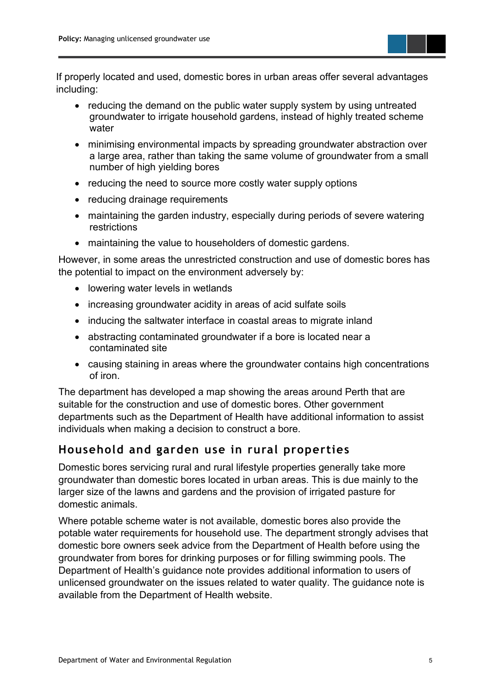

If properly located and used, domestic bores in urban areas offer several advantages including:

- reducing the demand on the public water supply system by using untreated groundwater to irrigate household gardens, instead of highly treated scheme water
- minimising environmental impacts by spreading groundwater abstraction over a large area, rather than taking the same volume of groundwater from a small number of high yielding bores
- reducing the need to source more costly water supply options
- reducing drainage requirements
- maintaining the garden industry, especially during periods of severe watering restrictions
- maintaining the value to householders of domestic gardens.

However, in some areas the unrestricted construction and use of domestic bores has the potential to impact on the environment adversely by:

- lowering water levels in wetlands
- increasing groundwater acidity in areas of acid sulfate soils
- inducing the saltwater interface in coastal areas to migrate inland
- abstracting contaminated groundwater if a bore is located near a contaminated site
- causing staining in areas where the groundwater contains high concentrations of iron.

The department has developed a map showing the areas around Perth that are suitable for the construction and use of domestic bores. Other government departments such as the Department of Health have additional information to assist individuals when making a decision to construct a bore.

#### <span id="page-10-0"></span>**Household and garden use in rural properties**

Domestic bores servicing rural and rural lifestyle properties generally take more groundwater than domestic bores located in urban areas. This is due mainly to the larger size of the lawns and gardens and the provision of irrigated pasture for domestic animals.

Where potable scheme water is not available, domestic bores also provide the potable water requirements for household use. The department strongly advises that domestic bore owners seek advice from the Department of Health before using the groundwater from bores for drinking purposes or for filling swimming pools. The Department of Health's guidance note provides additional information to users of unlicensed groundwater on the issues related to water quality. The guidance note is available from the Department of Health website.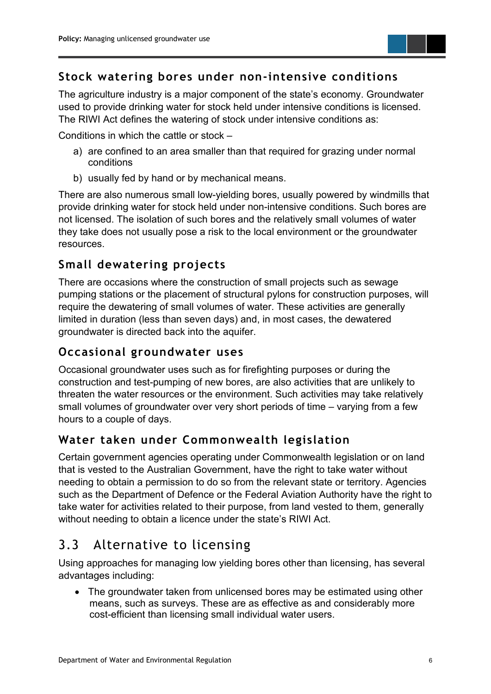

#### <span id="page-11-0"></span>**Stock watering bores under non-intensive conditions**

The agriculture industry is a major component of the state's economy. Groundwater used to provide drinking water for stock held under intensive conditions is licensed. The RIWI Act defines the watering of stock under intensive conditions as:

Conditions in which the cattle or stock –

- a) are confined to an area smaller than that required for grazing under normal conditions
- b) usually fed by hand or by mechanical means.

There are also numerous small low-yielding bores, usually powered by windmills that provide drinking water for stock held under non-intensive conditions. Such bores are not licensed. The isolation of such bores and the relatively small volumes of water they take does not usually pose a risk to the local environment or the groundwater resources.

#### <span id="page-11-1"></span>**Small dewatering projects**

There are occasions where the construction of small projects such as sewage pumping stations or the placement of structural pylons for construction purposes, will require the dewatering of small volumes of water. These activities are generally limited in duration (less than seven days) and, in most cases, the dewatered groundwater is directed back into the aquifer.

#### <span id="page-11-2"></span>**Occasional groundwater uses**

Occasional groundwater uses such as for firefighting purposes or during the construction and test-pumping of new bores, are also activities that are unlikely to threaten the water resources or the environment. Such activities may take relatively small volumes of groundwater over very short periods of time – varying from a few hours to a couple of days.

#### <span id="page-11-3"></span>**Water taken under Commonwealth legislation**

Certain government agencies operating under Commonwealth legislation or on land that is vested to the Australian Government, have the right to take water without needing to obtain a permission to do so from the relevant state or territory. Agencies such as the Department of Defence or the Federal Aviation Authority have the right to take water for activities related to their purpose, from land vested to them, generally without needing to obtain a licence under the state's RIWI Act.

### <span id="page-11-4"></span>3.3 Alternative to licensing

Using approaches for managing low yielding bores other than licensing, has several advantages including:

• The groundwater taken from unlicensed bores may be estimated using other means, such as surveys. These are as effective as and considerably more cost-efficient than licensing small individual water users.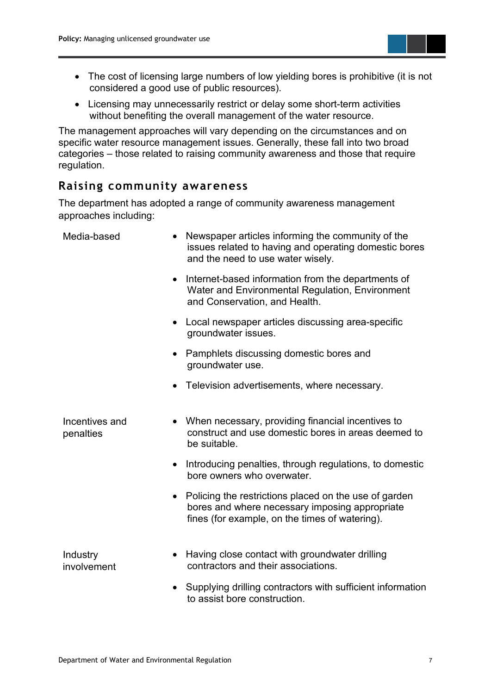

- The cost of licensing large numbers of low yielding bores is prohibitive (it is not considered a good use of public resources).
- Licensing may unnecessarily restrict or delay some short-term activities without benefiting the overall management of the water resource.

The management approaches will vary depending on the circumstances and on specific water resource management issues. Generally, these fall into two broad categories – those related to raising community awareness and those that require regulation.

#### <span id="page-12-0"></span>**Raising community awareness**

The department has adopted a range of community awareness management approaches including:

| Media-based                 | Newspaper articles informing the community of the<br>issues related to having and operating domestic bores<br>and the need to use water wisely.                        |
|-----------------------------|------------------------------------------------------------------------------------------------------------------------------------------------------------------------|
|                             | Internet-based information from the departments of<br>$\bullet$<br>Water and Environmental Regulation, Environment<br>and Conservation, and Health.                    |
|                             | • Local newspaper articles discussing area-specific<br>groundwater issues.                                                                                             |
|                             | • Pamphlets discussing domestic bores and<br>groundwater use.                                                                                                          |
|                             | Television advertisements, where necessary.                                                                                                                            |
| Incentives and<br>penalties | • When necessary, providing financial incentives to<br>construct and use domestic bores in areas deemed to<br>be suitable.                                             |
|                             | Introducing penalties, through regulations, to domestic<br>bore owners who overwater.                                                                                  |
|                             | Policing the restrictions placed on the use of garden<br>$\bullet$<br>bores and where necessary imposing appropriate<br>fines (for example, on the times of watering). |
| Industry<br>involvement     | Having close contact with groundwater drilling<br>contractors and their associations.                                                                                  |
|                             | Supplying drilling contractors with sufficient information<br>$\bullet$<br>to assist bore construction.                                                                |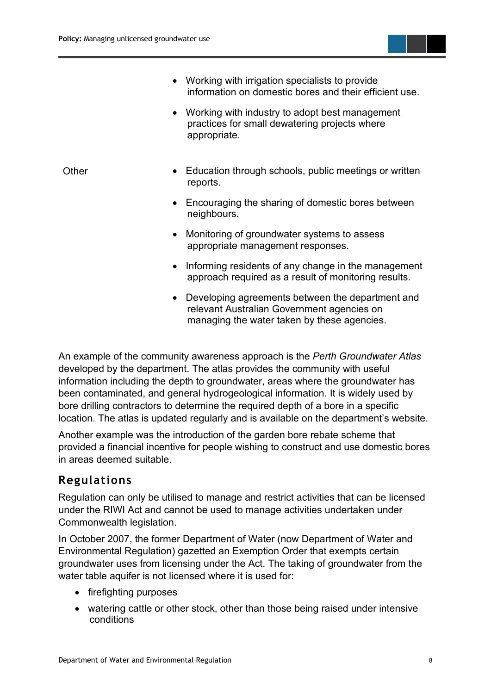

• Developing agreements between the department and relevant Australian Government agencies on managing the water taken by these agencies.

An example of the community awareness approach is the *Perth Groundwater Atlas* developed by the department. The atlas provides the community with useful information including the depth to groundwater, areas where the groundwater has been contaminated, and general hydrogeological information. It is widely used by bore drilling contractors to determine the required depth of a bore in a specific location. The atlas is updated regularly and is available on the department's website.

Another example was the introduction of the garden bore rebate scheme that provided a financial incentive for people wishing to construct and use domestic bores in areas deemed suitable.

#### <span id="page-13-0"></span>**Regulations**

Regulation can only be utilised to manage and restrict activities that can be licensed under the RIWI Act and cannot be used to manage activities undertaken under Commonwealth legislation.

In October 2007, the former Department of Water (now Department of Water and Environmental Regulation) gazetted an Exemption Order that exempts certain groundwater uses from licensing under the Act. The taking of groundwater from the water table aquifer is not licensed where it is used for:

- firefighting purposes
- watering cattle or other stock, other than those being raised under intensive conditions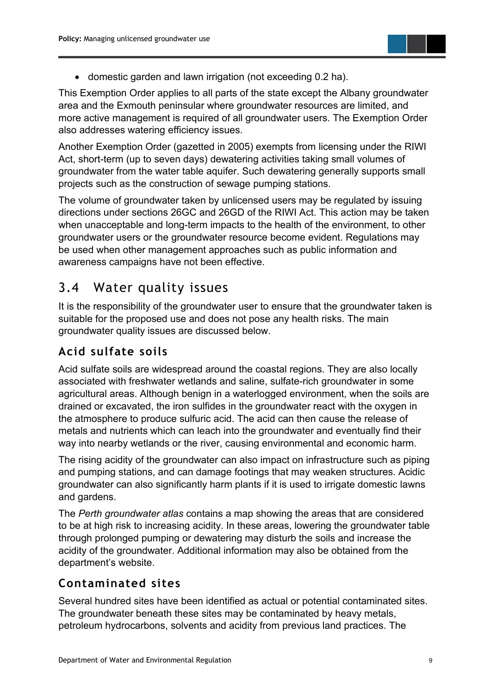

• domestic garden and lawn irrigation (not exceeding 0.2 ha).

This Exemption Order applies to all parts of the state except the Albany groundwater area and the Exmouth peninsular where groundwater resources are limited, and more active management is required of all groundwater users. The Exemption Order also addresses watering efficiency issues.

Another Exemption Order (gazetted in 2005) exempts from licensing under the RIWI Act, short-term (up to seven days) dewatering activities taking small volumes of groundwater from the water table aquifer. Such dewatering generally supports small projects such as the construction of sewage pumping stations.

The volume of groundwater taken by unlicensed users may be regulated by issuing directions under sections 26GC and 26GD of the RIWI Act. This action may be taken when unacceptable and long-term impacts to the health of the environment, to other groundwater users or the groundwater resource become evident. Regulations may be used when other management approaches such as public information and awareness campaigns have not been effective.

#### <span id="page-14-0"></span>3.4 Water quality issues

It is the responsibility of the groundwater user to ensure that the groundwater taken is suitable for the proposed use and does not pose any health risks. The main groundwater quality issues are discussed below.

#### <span id="page-14-1"></span>**Acid sulfate soils**

Acid sulfate soils are widespread around the coastal regions. They are also locally associated with freshwater wetlands and saline, sulfate-rich groundwater in some agricultural areas. Although benign in a waterlogged environment, when the soils are drained or excavated, the iron sulfides in the groundwater react with the oxygen in the atmosphere to produce sulfuric acid. The acid can then cause the release of metals and nutrients which can leach into the groundwater and eventually find their way into nearby wetlands or the river, causing environmental and economic harm.

The rising acidity of the groundwater can also impact on infrastructure such as piping and pumping stations, and can damage footings that may weaken structures. Acidic groundwater can also significantly harm plants if it is used to irrigate domestic lawns and gardens.

The *Perth groundwater atlas* contains a map showing the areas that are considered to be at high risk to increasing acidity. In these areas, lowering the groundwater table through prolonged pumping or dewatering may disturb the soils and increase the acidity of the groundwater. Additional information may also be obtained from the department's website.

#### <span id="page-14-2"></span>**Contaminated sites**

Several hundred sites have been identified as actual or potential contaminated sites. The groundwater beneath these sites may be contaminated by heavy metals, petroleum hydrocarbons, solvents and acidity from previous land practices. The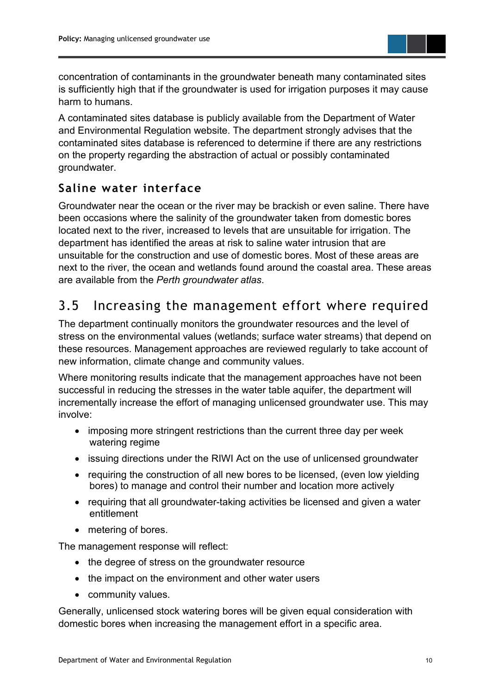

concentration of contaminants in the groundwater beneath many contaminated sites is sufficiently high that if the groundwater is used for irrigation purposes it may cause harm to humans.

A contaminated sites database is publicly available from the Department of Water and Environmental Regulation website. The department strongly advises that the contaminated sites database is referenced to determine if there are any restrictions on the property regarding the abstraction of actual or possibly contaminated groundwater.

#### <span id="page-15-0"></span>**Saline water interface**

Groundwater near the ocean or the river may be brackish or even saline. There have been occasions where the salinity of the groundwater taken from domestic bores located next to the river, increased to levels that are unsuitable for irrigation. The department has identified the areas at risk to saline water intrusion that are unsuitable for the construction and use of domestic bores. Most of these areas are next to the river, the ocean and wetlands found around the coastal area. These areas are available from the *Perth groundwater atlas*.

#### <span id="page-15-1"></span>3.5 Increasing the management effort where required

The department continually monitors the groundwater resources and the level of stress on the environmental values (wetlands; surface water streams) that depend on these resources. Management approaches are reviewed regularly to take account of new information, climate change and community values.

Where monitoring results indicate that the management approaches have not been successful in reducing the stresses in the water table aquifer, the department will incrementally increase the effort of managing unlicensed groundwater use. This may involve:

- imposing more stringent restrictions than the current three day per week watering regime
- issuing directions under the RIWI Act on the use of unlicensed groundwater
- requiring the construction of all new bores to be licensed, (even low yielding bores) to manage and control their number and location more actively
- requiring that all groundwater-taking activities be licensed and given a water entitlement
- metering of bores.

The management response will reflect:

- the degree of stress on the groundwater resource
- the impact on the environment and other water users
- community values.

Generally, unlicensed stock watering bores will be given equal consideration with domestic bores when increasing the management effort in a specific area.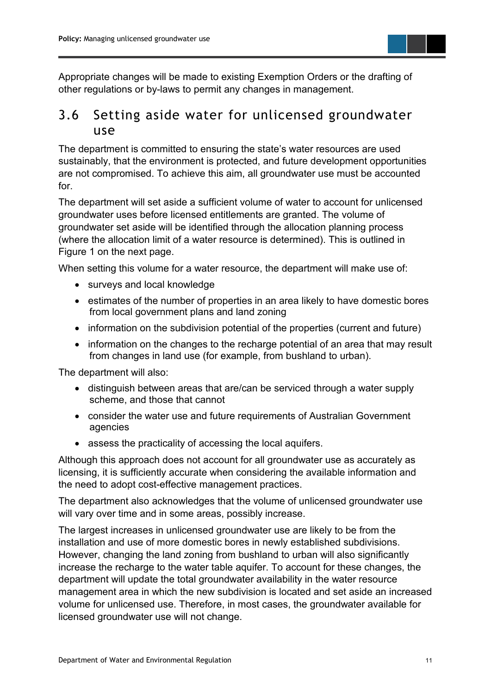

Appropriate changes will be made to existing Exemption Orders or the drafting of other regulations or by-laws to permit any changes in management.

#### <span id="page-16-0"></span>3.6 Setting aside water for unlicensed groundwater use

The department is committed to ensuring the state's water resources are used sustainably, that the environment is protected, and future development opportunities are not compromised. To achieve this aim, all groundwater use must be accounted for.

The department will set aside a sufficient volume of water to account for unlicensed groundwater uses before licensed entitlements are granted. The volume of groundwater set aside will be identified through the allocation planning process (where the allocation limit of a water resource is determined). This is outlined in Figure 1 on the next page.

When setting this volume for a water resource, the department will make use of:

- surveys and local knowledge
- estimates of the number of properties in an area likely to have domestic bores from local government plans and land zoning
- information on the subdivision potential of the properties (current and future)
- information on the changes to the recharge potential of an area that may result from changes in land use (for example, from bushland to urban).

The department will also:

- distinguish between areas that are/can be serviced through a water supply scheme, and those that cannot
- consider the water use and future requirements of Australian Government agencies
- assess the practicality of accessing the local aquifers.

Although this approach does not account for all groundwater use as accurately as licensing, it is sufficiently accurate when considering the available information and the need to adopt cost-effective management practices.

The department also acknowledges that the volume of unlicensed groundwater use will vary over time and in some areas, possibly increase.

The largest increases in unlicensed groundwater use are likely to be from the installation and use of more domestic bores in newly established subdivisions. However, changing the land zoning from bushland to urban will also significantly increase the recharge to the water table aquifer. To account for these changes, the department will update the total groundwater availability in the water resource management area in which the new subdivision is located and set aside an increased volume for unlicensed use. Therefore, in most cases, the groundwater available for licensed groundwater use will not change.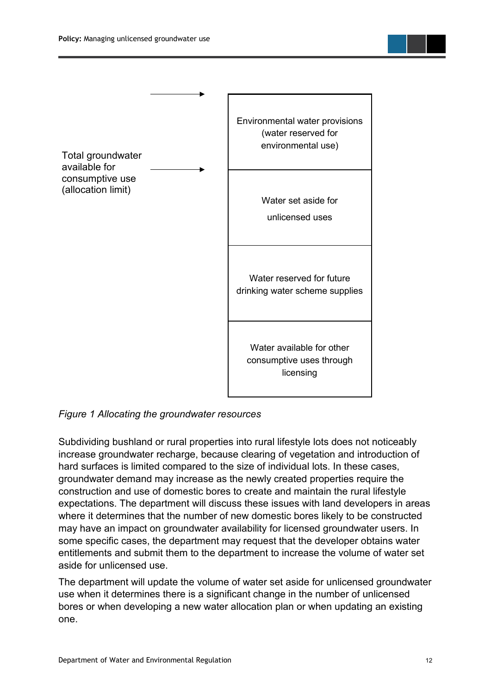

#### <span id="page-17-0"></span>*Figure 1 Allocating the groundwater resources*

Subdividing bushland or rural properties into rural lifestyle lots does not noticeably increase groundwater recharge, because clearing of vegetation and introduction of hard surfaces is limited compared to the size of individual lots. In these cases, groundwater demand may increase as the newly created properties require the construction and use of domestic bores to create and maintain the rural lifestyle expectations. The department will discuss these issues with land developers in areas where it determines that the number of new domestic bores likely to be constructed may have an impact on groundwater availability for licensed groundwater users. In some specific cases, the department may request that the developer obtains water entitlements and submit them to the department to increase the volume of water set aside for unlicensed use.

The department will update the volume of water set aside for unlicensed groundwater use when it determines there is a significant change in the number of unlicensed bores or when developing a new water allocation plan or when updating an existing one.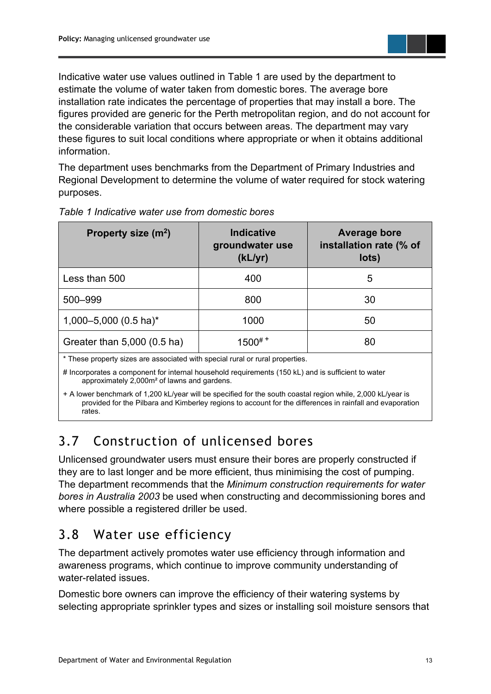

Indicative water use values outlined in Table 1 are used by the department to estimate the volume of water taken from domestic bores. The average bore installation rate indicates the percentage of properties that may install a bore. The figures provided are generic for the Perth metropolitan region, and do not account for the considerable variation that occurs between areas. The department may vary these figures to suit local conditions where appropriate or when it obtains additional information.

The department uses benchmarks from the Department of Primary Industries and Regional Development to determine the volume of water required for stock watering purposes.

| Property size (m <sup>2</sup> )  | <b>Indicative</b><br>groundwater use<br>(kL/yr) | Average bore<br>installation rate (% of<br>lots) |
|----------------------------------|-------------------------------------------------|--------------------------------------------------|
| Less than 500                    | 400                                             | 5                                                |
| 500-999                          | 800                                             | 30                                               |
| 1,000-5,000 $(0.5 \text{ ha})^*$ | 1000                                            | 50                                               |
| Greater than 5,000 (0.5 ha)      | $1500^{#+}$                                     | 80                                               |

#### <span id="page-18-2"></span>*Table 1 Indicative water use from domestic bores*

\* These property sizes are associated with special rural or rural properties.

# Incorporates a component for internal household requirements (150 kL) and is sufficient to water approximately 2,000m² of lawns and gardens.

+ A lower benchmark of 1,200 kL/year will be specified for the south coastal region while, 2,000 kL/year is provided for the Pilbara and Kimberley regions to account for the differences in rainfall and evaporation rates.

#### <span id="page-18-0"></span>3.7 Construction of unlicensed bores

Unlicensed groundwater users must ensure their bores are properly constructed if they are to last longer and be more efficient, thus minimising the cost of pumping. The department recommends that the *Minimum construction requirements for water bores in Australia 2003* be used when constructing and decommissioning bores and where possible a registered driller be used.

#### <span id="page-18-1"></span>3.8 Water use efficiency

The department actively promotes water use efficiency through information and awareness programs, which continue to improve community understanding of water-related issues.

Domestic bore owners can improve the efficiency of their watering systems by selecting appropriate sprinkler types and sizes or installing soil moisture sensors that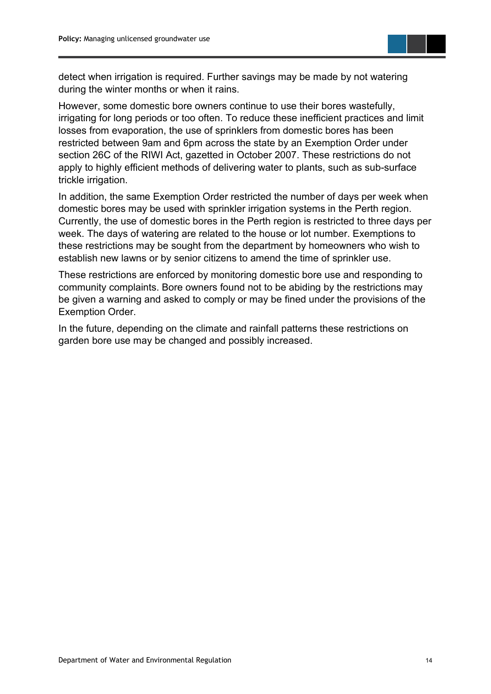

detect when irrigation is required. Further savings may be made by not watering during the winter months or when it rains.

However, some domestic bore owners continue to use their bores wastefully, irrigating for long periods or too often. To reduce these inefficient practices and limit losses from evaporation, the use of sprinklers from domestic bores has been restricted between 9am and 6pm across the state by an Exemption Order under section 26C of the RIWI Act, gazetted in October 2007. These restrictions do not apply to highly efficient methods of delivering water to plants, such as sub-surface trickle irrigation.

In addition, the same Exemption Order restricted the number of days per week when domestic bores may be used with sprinkler irrigation systems in the Perth region. Currently, the use of domestic bores in the Perth region is restricted to three days per week. The days of watering are related to the house or lot number. Exemptions to these restrictions may be sought from the department by homeowners who wish to establish new lawns or by senior citizens to amend the time of sprinkler use.

These restrictions are enforced by monitoring domestic bore use and responding to community complaints. Bore owners found not to be abiding by the restrictions may be given a warning and asked to comply or may be fined under the provisions of the Exemption Order.

In the future, depending on the climate and rainfall patterns these restrictions on garden bore use may be changed and possibly increased.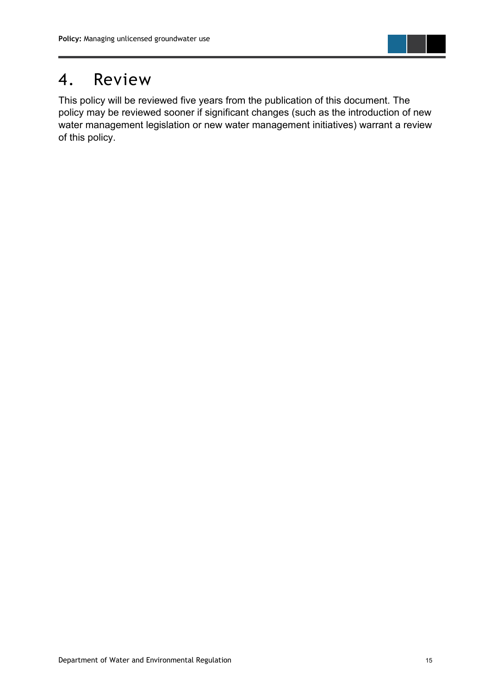

## <span id="page-20-0"></span>4. Review

This policy will be reviewed five years from the publication of this document. The policy may be reviewed sooner if significant changes (such as the introduction of new water management legislation or new water management initiatives) warrant a review of this policy.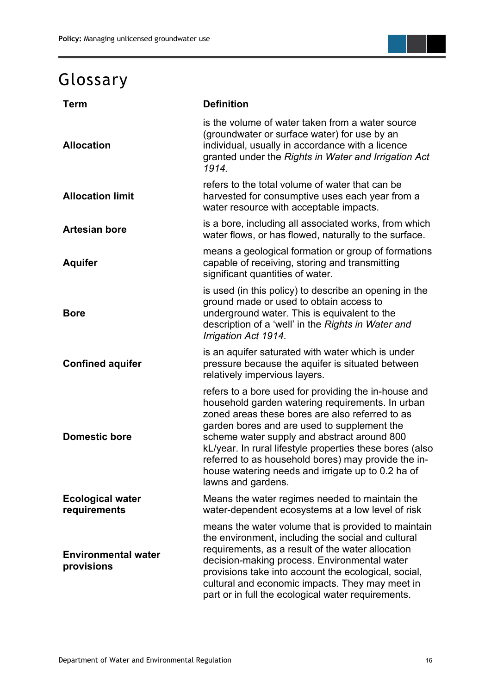## <span id="page-21-0"></span>Glossary

| <b>Term</b>                              | <b>Definition</b>                                                                                                                                                                                                                                                                                                                                                                                                                                       |  |
|------------------------------------------|---------------------------------------------------------------------------------------------------------------------------------------------------------------------------------------------------------------------------------------------------------------------------------------------------------------------------------------------------------------------------------------------------------------------------------------------------------|--|
| <b>Allocation</b>                        | is the volume of water taken from a water source<br>(groundwater or surface water) for use by an<br>individual, usually in accordance with a licence<br>granted under the Rights in Water and Irrigation Act<br>1914.                                                                                                                                                                                                                                   |  |
| <b>Allocation limit</b>                  | refers to the total volume of water that can be<br>harvested for consumptive uses each year from a<br>water resource with acceptable impacts.                                                                                                                                                                                                                                                                                                           |  |
| <b>Artesian bore</b>                     | is a bore, including all associated works, from which<br>water flows, or has flowed, naturally to the surface.                                                                                                                                                                                                                                                                                                                                          |  |
| <b>Aquifer</b>                           | means a geological formation or group of formations<br>capable of receiving, storing and transmitting<br>significant quantities of water.                                                                                                                                                                                                                                                                                                               |  |
| <b>Bore</b>                              | is used (in this policy) to describe an opening in the<br>ground made or used to obtain access to<br>underground water. This is equivalent to the<br>description of a 'well' in the Rights in Water and<br>Irrigation Act 1914.                                                                                                                                                                                                                         |  |
| <b>Confined aquifer</b>                  | is an aquifer saturated with water which is under<br>pressure because the aquifer is situated between<br>relatively impervious layers.                                                                                                                                                                                                                                                                                                                  |  |
| <b>Domestic bore</b>                     | refers to a bore used for providing the in-house and<br>household garden watering requirements. In urban<br>zoned areas these bores are also referred to as<br>garden bores and are used to supplement the<br>scheme water supply and abstract around 800<br>kL/year. In rural lifestyle properties these bores (also<br>referred to as household bores) may provide the in-<br>house watering needs and irrigate up to 0.2 ha of<br>lawns and gardens. |  |
| <b>Ecological water</b><br>requirements  | Means the water regimes needed to maintain the<br>water-dependent ecosystems at a low level of risk                                                                                                                                                                                                                                                                                                                                                     |  |
| <b>Environmental water</b><br>provisions | means the water volume that is provided to maintain<br>the environment, including the social and cultural<br>requirements, as a result of the water allocation<br>decision-making process. Environmental water<br>provisions take into account the ecological, social,<br>cultural and economic impacts. They may meet in<br>part or in full the ecological water requirements.                                                                         |  |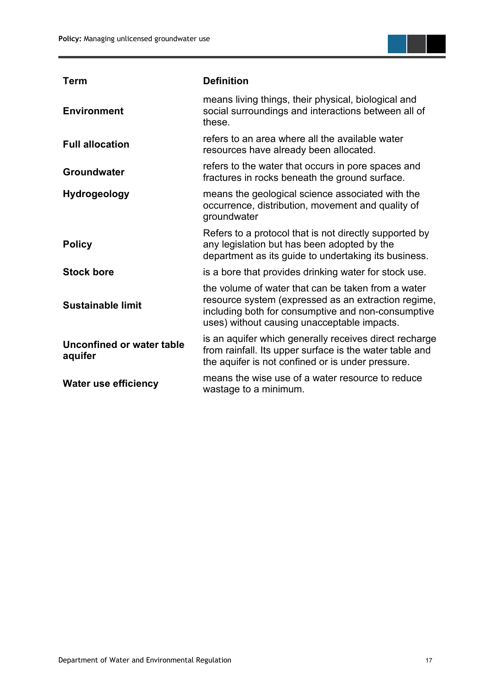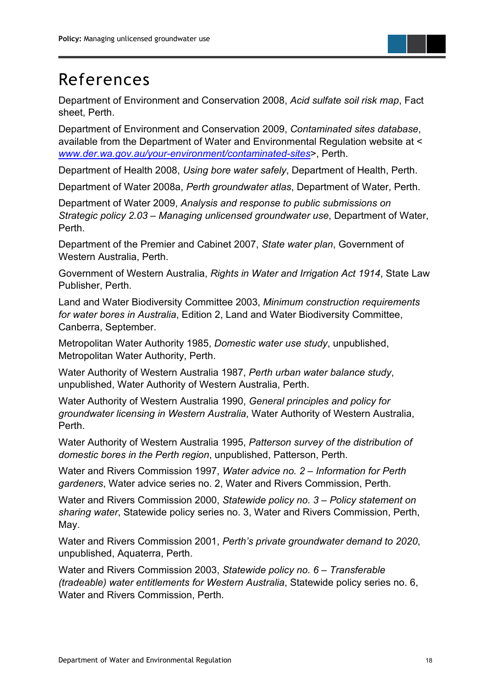## <span id="page-23-0"></span>References

Department of Environment and Conservation 2008, *Acid sulfate soil risk map*, Fact sheet, Perth.

Department of Environment and Conservation 2009, *Contaminated sites database*, available from the Department of Water and Environmental Regulation website at < *[www.der.wa.gov.au/your-environment/contaminated-sites](http://www.der.wa.gov.au/your-environment/contaminated-sites)*>, Perth.

Department of Health 2008, *Using bore water safely*, Department of Health, Perth.

Department of Water 2008a, *Perth groundwater atlas*, Department of Water, Perth.

Department of Water 2009, *Analysis and response to public submissions on Strategic policy 2.03 – Managing unlicensed groundwater use*, Department of Water, Perth.

Department of the Premier and Cabinet 2007, *State water plan*, Government of Western Australia, Perth.

Government of Western Australia, *Rights in Water and Irrigation Act 1914*, State Law Publisher, Perth.

Land and Water Biodiversity Committee 2003, *Minimum construction requirements for water bores in Australia*, Edition 2, Land and Water Biodiversity Committee, Canberra, September.

Metropolitan Water Authority 1985, *Domestic water use study*, unpublished, Metropolitan Water Authority, Perth.

Water Authority of Western Australia 1987, *Perth urban water balance study*, unpublished, Water Authority of Western Australia, Perth.

Water Authority of Western Australia 1990, *General principles and policy for groundwater licensing in Western Australia*, Water Authority of Western Australia, Perth.

Water Authority of Western Australia 1995, *Patterson survey of the distribution of domestic bores in the Perth region*, unpublished, Patterson, Perth.

Water and Rivers Commission 1997, *Water advice no. 2 – Information for Perth gardeners*, Water advice series no. 2, Water and Rivers Commission, Perth.

Water and Rivers Commission 2000, *Statewide policy no. 3 – Policy statement on sharing water*, Statewide policy series no. 3, Water and Rivers Commission, Perth, May.

Water and Rivers Commission 2001, *Perth's private groundwater demand to 2020*, unpublished, Aquaterra, Perth.

Water and Rivers Commission 2003, *Statewide policy no. 6 – Transferable (tradeable) water entitlements for Western Australia*, Statewide policy series no. 6, Water and Rivers Commission, Perth.